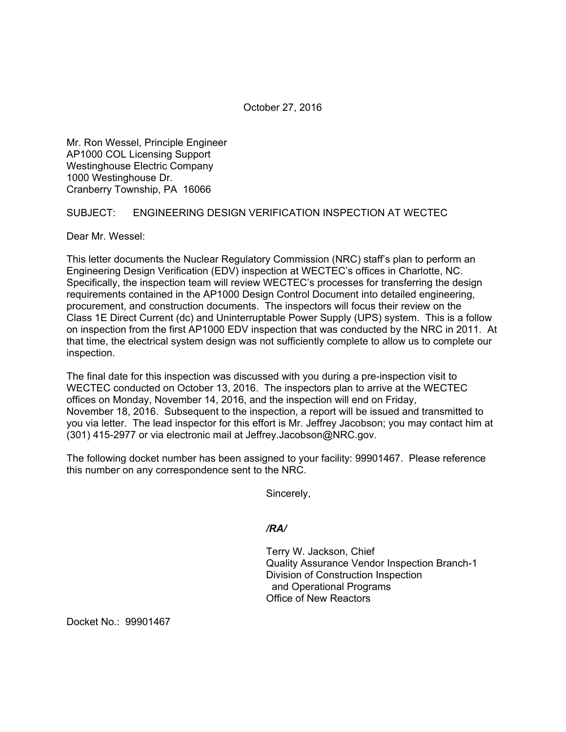October 27, 2016

Mr. Ron Wessel, Principle Engineer AP1000 COL Licensing Support Westinghouse Electric Company 1000 Westinghouse Dr. Cranberry Township, PA 16066

## SUBJECT: ENGINEERING DESIGN VERIFICATION INSPECTION AT WECTEC

Dear Mr. Wessel:

This letter documents the Nuclear Regulatory Commission (NRC) staff's plan to perform an Engineering Design Verification (EDV) inspection at WECTEC's offices in Charlotte, NC. Specifically, the inspection team will review WECTEC's processes for transferring the design requirements contained in the AP1000 Design Control Document into detailed engineering, procurement, and construction documents. The inspectors will focus their review on the Class 1E Direct Current (dc) and Uninterruptable Power Supply (UPS) system. This is a follow on inspection from the first AP1000 EDV inspection that was conducted by the NRC in 2011. At that time, the electrical system design was not sufficiently complete to allow us to complete our inspection.

The final date for this inspection was discussed with you during a pre-inspection visit to WECTEC conducted on October 13, 2016. The inspectors plan to arrive at the WECTEC offices on Monday, November 14, 2016, and the inspection will end on Friday, November 18, 2016. Subsequent to the inspection, a report will be issued and transmitted to you via letter. The lead inspector for this effort is Mr. Jeffrey Jacobson; you may contact him at (301) 415-2977 or via electronic mail at Jeffrey.Jacobson@NRC.gov.

The following docket number has been assigned to your facility: 99901467. Please reference this number on any correspondence sent to the NRC.

Sincerely,

*/RA/* 

Terry W. Jackson, Chief Quality Assurance Vendor Inspection Branch-1 Division of Construction Inspection and Operational Programs Office of New Reactors

Docket No.: 99901467